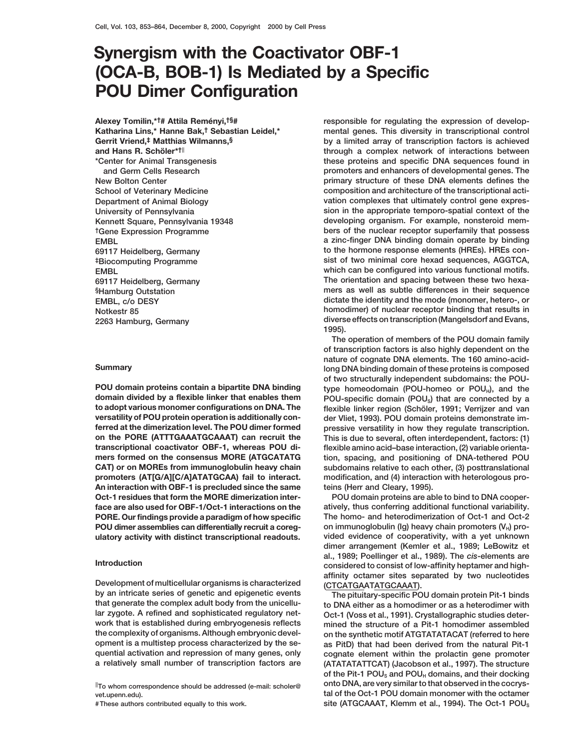# **Synergism with the Coactivator OBF-1 (OCA-B, BOB-1) Is Mediated by a Specific POU Dimer Configuration**

**Alexey Tomilin,\*†# Attila Reme´ nyi,†§# Katharina Lins,\* Hanne Bak,† Sebastian Leidel,\* Gerrit Vriend,‡ Matthias Wilmanns,§ and Hans R. Schöler\*†**|| **\*Center for Animal Transgenesis**

**An interaction with OBF-1 is precluded since the same teins (Herr and Cleary, 1995). Oct-1 residues that form the MORE dimerization inter- POU domain proteins are able to bind to DNA cooperface are also used for OBF-1/Oct-1 interactions on the atively, thus conferring additional functional variability. PORE. Our findings provide a paradigm of how specific The homo- and heterodimerization of Oct-1 and Oct-2 POU dimer assemblies can differentially recruit a coreg-** on immunoglobulin (Ig) heavy chain promoters (V<sub>H</sub>) pro-<br>
ulatory activity with distinct transcriptional readouts, vided evidence of cooperativity, with a yet unkn **ulatory activity with distinct transcriptional readouts.** 

**Development of multicellular organisms is characterized** (CTCATGAATATGCAAAT).<br>by an intricate series of genetic and epigenetic events The pituitary-specific PC

**responsible for regulating the expression of developmental genes. This diversity in transcriptional control by a limited array of transcription factors is achieved through a complex network of interactions between these proteins and specific DNA sequences found in and Germ Cells Research promoters and enhancers of developmental genes. The New Bolton Center primary structure of these DNA elements defines the School of Veterinary Medicine composition and architecture of the transcriptional acti-Department of Animal Biology vation complexes that ultimately control gene expres-University of Pennsylvania sion in the appropriate temporo-spatial context of the Kennett Square, Pennsylvania 19348 developing organism. For example, nonsteroid mem- †Gene Expression Programme bers of the nuclear receptor superfamily that possess EMBL a zinc-finger DNA binding domain operate by binding 69117 Heidelberg, Germany to the hormone response elements (HREs). HREs con- ‡Biocomputing Programme sist of two minimal core hexad sequences, AGGTCA, EMBL which can be configured into various functional motifs. 69117 Heidelberg, Germany The orientation and spacing between these two hexa- §Hamburg Outstation mers as well as subtle differences in their sequence EMBL, c/o DESY dictate the identity and the mode (monomer, hetero-, or Notkestr 85 homodimer) of nuclear receptor binding that results in 2263 Hamburg, Germany diverse effects on transcription (Mangelsdorf and Evans, 1995).**

**The operation of members of the POU domain family of transcription factors is also highly dependent on the nature of cognate DNA elements. The 160 amino-acid-Summary long DNA binding domain of these proteins is composed of two structurally independent subdomains: the POU-POU domain proteins contain a bipartite DNA binding** type homeodomain (POU-homeo or POU<sub>H</sub>), and the domain divided by a flexible linker that enables them pOU-specific domain (POU-) that are connected by a **domain divided by a flexible linker that enables them** POU-specific domain (POU<sub>s</sub>) that are connected by a<br>**to adopt various monomer configurations on DNA. The** flexible linker region (Schöler, 1991; Verriizer and van flexible linker region (Schöler, 1991; Verrijzer and van **versatility of POU protein operation is additionally con- der Vliet, 1993). POU domain proteins demonstrate imferred at the dimerization level. The POU dimer formed pressive versatility in how they regulate transcription. on the PORE (ATTTGAAATGCAAAT) can recruit the This is due to several, often interdependent, factors: (1)** flexible amino acid-base interaction, (2) variable orienta**mers formed on the consensus MORE (ATGCATATG tion, spacing, and positioning of DNA-tethered POU CAT) or on MOREs from immunoglobulin heavy chain subdomains relative to each other, (3) posttranslational promoters (AT[G/A][C/A]ATATGCAA) fail to interact. modification, and (4) interaction with heterologous pro-**

**dimer arrangement (Kemler et al., 1989; LeBowitz et al., 1989; Poellinger et al., 1989). The** *cis***-elements are Introduction considered to consist of low-affinity heptamer and highaffinity octamer sites separated by two nucleotides**

**by an intricate series of genetic and epigenetic events The pituitary-specific POU domain protein Pit-1 binds that generate the complex adult body from the unicellu- to DNA either as a homodimer or as a heterodimer with lar zygote. A refined and sophisticated regulatory net- Oct-1 (Voss et al., 1991). Crystallographic studies deterwork that is established during embryogenesis reflects mined the structure of a Pit-1 homodimer assembled** on the synthetic motif ATGTATATACAT (referred to here **opment is a multistep process characterized by the se- as PitD) that had been derived from the natural Pit-1 quential activation and repression of many genes, only cognate element within the prolactin gene promoter a relatively small number of transcription factors are (ATATATATTCAT) (Jacobson et al., 1997). The structure of the Pit-1 POUS and POUH domains, and their docking** <sup>k</sup> **onto DNA, are very similar to that observed in the cocrys- To whom correspondence should be addressed (e-mail: scholer@** vet.upenn.edu).<br> **tal of the Oct-1 POU domain monomer with the octamer**<br> **tal of the Oct-1 POU start of the Oct-1 POU** site (ATGCAAAT, Klemm et al., 1994). The Oct-1 POU<sub>S</sub> site (ATGCAAAT, Klemm et al., 1994). The Oct-1 POU<sub>S</sub>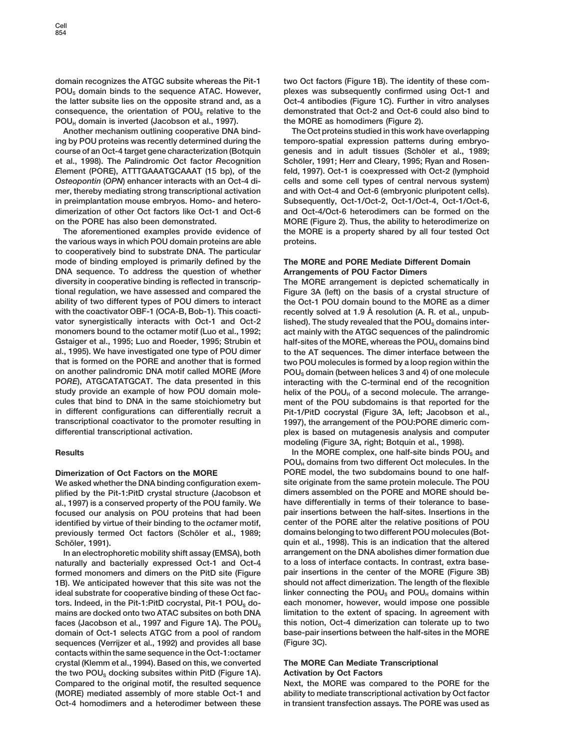**POUH domain is inverted (Jacobson et al., 1997). the MORE as homodimers (Figure 2).**

**Another mechanism outlining cooperative DNA bind- The Oct proteins studied in this work have overlapping** ing by POU proteins was recently determined during the temporo-spatial expression patterns during embryo**course of an Oct-4 target gene characterization (Botquin genesis and in adult tissues (Schöler et al., 1989;** et al., 1998). The Palindromic Oct factor Recognition Schöler, 1991; Herr and Cleary, 1995; Ryan and Rosen-*E***lement (PORE), ATTTGAAATGCAAAT (15 bp), of the feld, 1997). Oct-1 is coexpressed with Oct-2 (lymphoid** *Osteopontin* **(***OPN***) enhancer interacts with an Oct-4 di- cells and some cell types of central nervous system) mer, thereby mediating strong transcriptional activation and with Oct-4 and Oct-6 (embryonic pluripotent cells). in preimplantation mouse embryos. Homo- and hetero- Subsequently, Oct-1/Oct-2, Oct-1/Oct-4, Oct-1/Oct-6, dimerization of other Oct factors like Oct-1 and Oct-6 and Oct-4/Oct-6 heterodimers can be formed on the**

**the various ways in which POU domain proteins are able proteins. to cooperatively bind to substrate DNA. The particular mode of binding employed is primarily defined by the The MORE and PORE Mediate Different Domain DNA sequence. To address the question of whether Arrangements of POU Factor Dimers diversity in cooperative binding is reflected in transcrip- The MORE arrangement is depicted schematically in tional regulation, we have assessed and compared the Figure 3A (left) on the basis of a crystal structure of ability of two different types of POU dimers to interact the Oct-1 POU domain bound to the MORE as a dimer** with the coactivator OBF-1 (OCA-B, Bob-1). This coacti-<br> **recently solved at 1.9** Å resolution (A. R. et al., unpubvator synergistically interacts with Oct-1 and Oct-2 lished). The study revealed that the POU<sub>S</sub> domains inter-<br>
monomers bound to the octamer motif (Luo et al., 1992; act mainly with the ATGC sequences of the palindromic Gstaiger et al., 1995; Luo and Roeder, 1995; Strubin et half-sites of the MORE, whereas the POU<sub>H</sub> domains bind **al., 1995). We have investigated one type of POU dimer to the AT sequences. The dimer interface between the that is formed on the PORE and another that is formed two POU molecules is formed by a loop region within the on another palindromic DNA motif called MORE (***M***ore POUS domain (between helices 3 and 4) of one molecule P***ORE***), ATGCATATGCAT. The data presented in this interacting with the C-terminal end of the recognition** study provide an example of how POU domain mole-<br> **helix of the POU<sub>H</sub>** of a second molecule. The arrange**cules that bind to DNA in the same stoichiometry but ment of the POU subdomains is that reported for the in different configurations can differentially recruit a Pit-1/PitD cocrystal (Figure 3A, left; Jacobson et al., transcriptional coactivator to the promoter resulting in 1997), the arrangement of the POU:PORE dimeric comdifferential transcriptional activation. plex is based on mutagenesis analysis and computer**

We asked whether the DNA binding configuration exem**plified by the Pit-1:PitD crystal structure (Jacobson et dimers assembled on the PORE and MORE should beal., 1997) is a conserved property of the POU family. We have differentially in terms of their tolerance to basefocused our analysis on POU proteins that had been pair insertions between the half-sites. Insertions in the identified by virtue of their binding to the** *oct***amer motif, center of the PORE alter the relative positions of POU** previously termed Oct factors (Schöler et al., 1989; **Schöler, 1991). Conserverse Exchange Schöler, 1998**. This is an indication that the altered

**naturally and bacterially expressed Oct-1 and Oct-4 to a loss of interface contacts. In contrast, extra baseformed monomers and dimers on the PitD site (Figure pair insertions in the center of the MORE (Figure 3B) 1B). We anticipated however that this site was not the should not affect dimerization. The length of the flexible ideal substrate for cooperative binding of these Oct fac- linker connecting the POUS and POUH domains within tors. Indeed, in the Pit-1:PitD cocrystal, Pit-1 POUS do- each monomer, however, would impose one possible mains are docked onto two ATAC subsites on both DNA limitation to the extent of spacing. In agreement with** faces (Jacobson et al., 1997 and Figure 1A). The POU<sub>S</sub> this notion, Oct-4 dimerization can tolerate up to two<br>domain of Oct-1 selects ATGC from a pool of random base-pair insertions between the half-sites in the MORE domain of Oct-1 selects ATGC from a pool of random **sequences (Verrijzer et al., 1992) and provides all base (Figure 3C). contacts within the same sequence in the Oct-1:octamer crystal (Klemm et al., 1994). Based on this, we converted The MORE Can Mediate Transcriptional the two POUS docking subsites within PitD (Figure 1A). Activation by Oct Factors Compared to the original motif, the resulted sequence Next, the MORE was compared to the PORE for the (MORE) mediated assembly of more stable Oct-1 and ability to mediate transcriptional activation by Oct factor Oct-4 homodimers and a heterodimer between these in transient transfection assays. The PORE was used as**

**domain recognizes the ATGC subsite whereas the Pit-1 two Oct factors (Figure 1B). The identity of these com-POUS domain binds to the sequence ATAC. However, plexes was subsequently confirmed using Oct-1 and the latter subsite lies on the opposite strand and, as a Oct-4 antibodies (Figure 1C). Further in vitro analyses consequence, the orientation of POUS relative to the demonstrated that Oct-2 and Oct-6 could also bind to**

**on the PORE has also been demonstrated. MORE (Figure 2). Thus, the ability to heterodimerize on The aforementioned examples provide evidence of the MORE is a property shared by all four tested Oct**

act mainly with the ATGC sequences of the palindromic **modeling (Figure 3A, right; Botquin et al., 1998).**

**Results In the MORE complex, one half-site binds POUS and POUH domains from two different Oct molecules. In the Dimerization of Oct Factors on the MORE PORE** model, the two subdomains bound to one half-<br>We asked whether the DNA binding configuration exem-<br>site originate from the same protein molecule. The POU **In an electrophoretic mobility shift assay (EMSA), both arrangement on the DNA abolishes dimer formation due**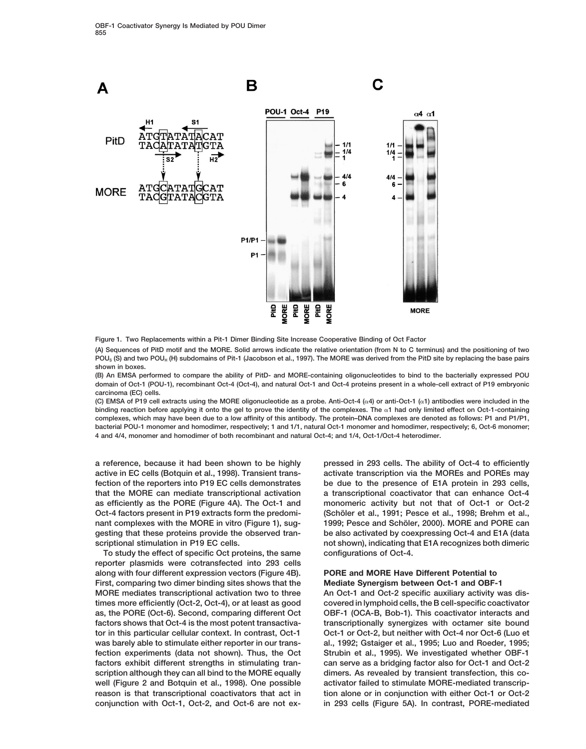

**Figure 1. Two Replacements within a Pit-1 Dimer Binding Site Increase Cooperative Binding of Oct Factor**

**(A) Sequences of PitD motif and the MORE. Solid arrows indicate the relative orientation (from N to C terminus) and the positioning of two POUS (S) and two POUH (H) subdomains of Pit-1 (Jacobson et al., 1997). The MORE was derived from the PitD site by replacing the base pairs shown in boxes.**

**(B) An EMSA performed to compare the ability of PitD- and MORE-containing oligonucleotides to bind to the bacterially expressed POU domain of Oct-1 (POU-1), recombinant Oct-4 (Oct-4), and natural Oct-1 and Oct-4 proteins present in a whole-cell extract of P19 embryonic carcinoma (EC) cells.**

**(C) EMSA of P19 cell extracts using the MORE oligonucleotide as a probe. Anti-Oct-4 (**a**4) or anti-Oct-1 (**a**1) antibodies were included in the binding reaction before applying it onto the gel to prove the identity of the complexes. The** a**1 had only limited effect on Oct-1-containing complexes, which may have been due to a low affinity of this antibody. The protein–DNA complexes are denoted as follows: P1 and P1/P1, bacterial POU-1 monomer and homodimer, respectively; 1 and 1/1, natural Oct-1 monomer and homodimer, respectively; 6, Oct-6 monomer; 4 and 4/4, monomer and homodimer of both recombinant and natural Oct-4; and 1/4, Oct-1/Oct-4 heterodimer.**

**active in EC cells (Botquin et al., 1998). Transient trans- activate transcription via the MOREs and POREs may fection of the reporters into P19 EC cells demonstrates be due to the presence of E1A protein in 293 cells, that the MORE can mediate transcriptional activation a transcriptional coactivator that can enhance Oct-4 as efficiently as the PORE (Figure 4A). The Oct-1 and monomeric activity but not that of Oct-1 or Oct-2 Oct-4 factors present in P19 extracts form the predomi-** (Schöler et al., 1991; Pesce et al., 1998; Brehm et al., **nant complexes with the MORE in vitro (Figure 1), sug-** 1999; Pesce and Schöler, 2000). MORE and PORE can **gesting that these proteins provide the observed tran- be also activated by coexpressing Oct-4 and E1A (data**

**To study the effect of specific Oct proteins, the same configurations of Oct-4. reporter plasmids were cotransfected into 293 cells along with four different expression vectors (Figure 4B). PORE and MORE Have Different Potential to First, comparing two dimer binding sites shows that the Mediate Synergism between Oct-1 and OBF-1** MORE mediates transcriptional activation two to three An Oct-1 and Oct-2 specific auxiliary activity was dis**times more efficiently (Oct-2, Oct-4), or at least as good covered in lymphoid cells, the B cell-specific coactivator as, the PORE (Oct-6). Second, comparing different Oct OBF-1 (OCA-B, Bob-1). This coactivator interacts and factors shows that Oct-4 is the most potent transactiva- transcriptionally synergizes with octamer site bound** tor in this particular cellular context. In contrast, Oct-1 0ct-1 or Oct-2, but neither with Oct-4 nor Oct-6 (Luo et **was barely able to stimulate either reporter in our trans- al., 1992; Gstaiger et al., 1995; Luo and Roeder, 1995; fection experiments (data not shown). Thus, the Oct Strubin et al., 1995). We investigated whether OBF-1 factors exhibit different strengths in stimulating tran- can serve as a bridging factor also for Oct-1 and Oct-2** scription although they can all bind to the MORE equally dimers. As revealed by transient transfection, this co**well (Figure 2 and Botquin et al., 1998). One possible activator failed to stimulate MORE-mediated transcripreason is that transcriptional coactivators that act in tion alone or in conjunction with either Oct-1 or Oct-2 conjunction with Oct-1, Oct-2, and Oct-6 are not ex- in 293 cells (Figure 5A). In contrast, PORE-mediated**

**a reference, because it had been shown to be highly pressed in 293 cells. The ability of Oct-4 to efficiently** scriptional stimulation in P19 EC cells. **not shown**), indicating that E1A recognizes both dimeric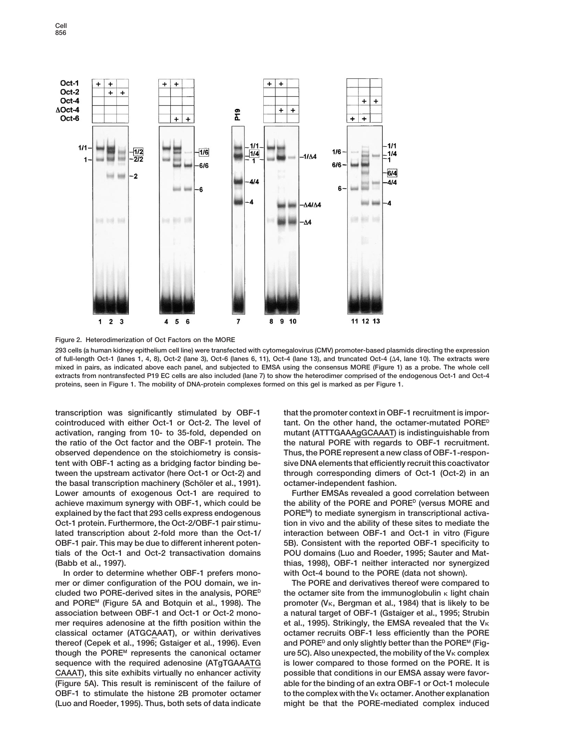



**293 cells (a human kidney epithelium cell line) were transfected with cytomegalovirus (CMV) promoter-based plasmids directing the expression of full-length Oct-1 (lanes 1, 4, 8), Oct-2 (lane 3), Oct-6 (lanes 6, 11), Oct-4 (lane 13), and truncated Oct-4 (**D**4, lane 10). The extracts were mixed in pairs, as indicated above each panel, and subjected to EMSA using the consensus MORE (Figure 1) as a probe. The whole cell extracts from nontransfected P19 EC cells are also included (lane 7) to show the heterodimer comprised of the endogenous Oct-1 and Oct-4 proteins, seen in Figure 1. The mobility of DNA-protein complexes formed on this gel is marked as per Figure 1.**

transcription was significantly stimulated by OBF-1 that the promoter context in OBF-1 recruitment is impor**tant. On the other hand, the octamer-mutated PORED cointroduced with either Oct-1 or Oct-2. The level of activation, ranging from 10- to 35-fold, depended on mutant (ATTTGAAAgGCAAAT) is indistinguishable from the ratio of the Oct factor and the OBF-1 protein. The the natural PORE with regards to OBF-1 recruitment. observed dependence on the stoichiometry is consis- Thus, the PORE represent a new class of OBF-1-respontent with OBF-1 acting as a bridging factor binding be- sive DNA elements that efficiently recruit this coactivator tween the upstream activator (here Oct-1 or Oct-2) and through corresponding dimers of Oct-1 (Oct-2) in an the basal transcription machinery (Schöler et al., 1991). octamer-independent fashion.** Lower amounts of exogenous Oct-1 are required to Further EMSAs revealed a good correlation between achieve maximum synergy with OBF-1, which could be the ability of the PORE and PORE<sup>D</sup> (versus MORE and explained by the fact that 293 cells express endogenous PORE<sup>M</sup>) to mediate synergism in transcriptional activa-**Oct-1 protein. Furthermore, the Oct-2/OBF-1 pair stimu- tion in vivo and the ability of these sites to mediate the lated transcription about 2-fold more than the Oct-1/ interaction between OBF-1 and Oct-1 in vitro (Figure OBF-1 pair. This may be due to different inherent poten- 5B). Consistent with the reported OBF-1 specificity to tials of the Oct-1 and Oct-2 transactivation domains POU domains (Luo and Roeder, 1995; Sauter and Mat- (Babb et al., 1997). thias, 1998), OBF-1 neither interacted nor synergized**

**In order to determine whether OBF-1 prefers mono- with Oct-4 bound to the PORE (data not shown). mer or dimer configuration of the POU domain, we in- The PORE and derivatives thereof were compared to cluded two PORE-derived sites in the analysis, PORE<sup>D</sup> the octamer site from the immunoglobulin k light chain and PORE<sup>M</sup> (Figure 5A and Botquin et al., 1998). The promoter (V<sub>K</sub>, Bergman et al., 1984) that is likely to be association between OBF-1 and Oct-1 or Oct-2 mono- a natural target of OBF-1 (Gstaiger et al., 1995; Strubin mer requires adenosine at the fifth position within the et al., 1995). Strikingly, the EMSA revealed that the V**k **classical octamer (ATGCAAAT), or within derivatives octamer recruits OBF-1 less efficiently than the PORE and PORE<sup>n</sup> conlightly better than the PORE<sup>M</sup> (Fig-<br>
<b>though the PORE<sup>M</sup>** represents the canonical octamer ure 5C). Also unexpected, the mobility of the V<sub>K</sub> complex **sequence with the required adenosine (ATgTGAAATG is lower compared to those formed on the PORE. It is CAAAT), this site exhibits virtually no enhancer activity possible that conditions in our EMSA assay were favor- (Figure 5A). This result is reminiscent of the failure of able for the binding of an extra OBF-1 or Oct-1 molecule OBF-1 to stimulate the histone 2B promoter octamer to the complex with the V**k **octamer. Another explanation (Luo and Roeder, 1995). Thus, both sets of data indicate might be that the PORE-mediated complex induced**

**the 5C). Also unexpected, the mobility of the V<sub>K</sub> complex**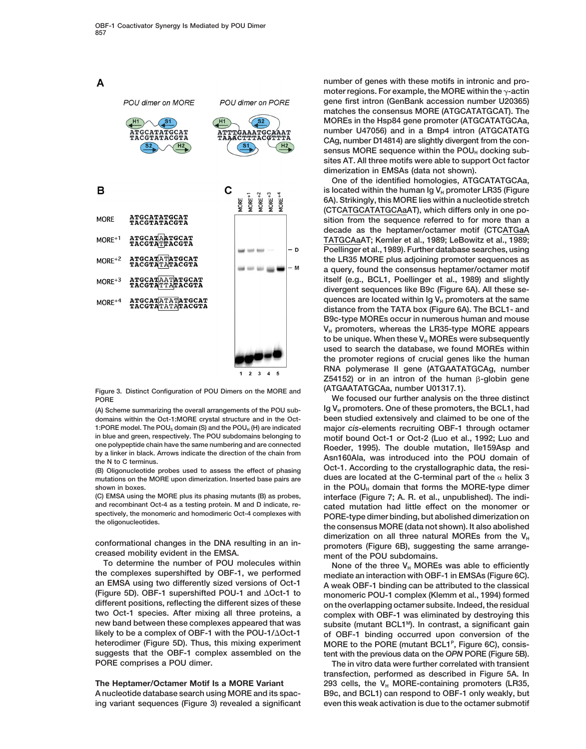A



**(ATGAATATGCAa, number U01317.1). Figure 3. Distinct Configuration of POU Dimers on the MORE and PORE** *PORE PORE PORE PORE PORE PORE PORE PORE PORE PORE PORE PORE PORE PORE PORE PORE PORE PORE PORE PORE PORE PORE PORE PORE* 

 $\mathbf{3}$  $\overline{a}$ 

 $1\quad 2$ 

**domains within the Oct-1:MORE crystal structure and in the Oct- been studied extensively and claimed to be one of the 1:PORE model. The POU<sub>S</sub> domain (S) and the POU<sub>H</sub> (H) are indicated major** *cis***-elements recruiting OBF-1 through octamer<br>in blue and green, respectively. The POU subdomains belonging to motif bound Oct-1 or Oct-2 (Luo e** in blue and green, respectively. The POU subdomains belonging to<br>
one polypeptide chain have the same numbering and are connected<br>
the N a C terminus.<br>
the N to C terminus.<br>
the N to C terminus.

 $mu$ tations on the MORE upon dimerization. Inserted base pairs are

**(C) EMSA using the MORE plus its phasing mutants (B) as probes, interface (Figure 7; A. R. et al., unpublished). The indi-**

To determine the number of POU molecules within<br>the complexes supershifted by OBF-1, we performed<br>an EMSA using two differently sized versions of Oct-1<br>A weak OBF-1 binding can be attributed to the classical **different positions, reflecting the different sizes of these on the overlapping octamer subsite. Indeed, the residual heterodimer (Figure 5D). Thus, this mixing experiment MORE to the PORE (mutant BCL1P, Figure 6C), consissuggests that the OBF-1 complex assembled on the tent with the previous data on the** *OPN* **PORE (Figure 5B).**

## **The Heptamer/Octamer Motif Is a MORE Variant** 293 cells, the V<sub>H</sub> MORE-containing promoters (LR35, **A nucleotide database search using MORE and its spac- B9c, and BCL1) can respond to OBF-1 only weakly, but ing variant sequences (Figure 3) revealed a significant even this weak activation is due to the octamer submotif**

**number of genes with these motifs in intronic and pro**moter regions. For example, the MORE within the  $\gamma$ -actin **gene first intron (GenBank accession number U20365) matches the consensus MORE (ATGCATATGCAT). The MOREs in the Hsp84 gene promoter (ATGCATATGCAa, number U47056) and in a Bmp4 intron (ATGCATATG CAg, number D14814) are slightly divergent from the con**sensus MORE sequence within the POU<sub>H</sub> docking sub**sites AT. All three motifs were able to support Oct factor dimerization in EMSAs (data not shown).**

**One of the identified homologies, ATGCATATGCAa,** is located within the human Ig V<sub>H</sub> promoter LR35 (Figure **6A). Strikingly, this MORE lies within a nucleotide stretch (CTCATGCATATGCAaAT), which differs only in one position from the sequence referred to for more than a decade as the heptamer/octamer motif (CTCATGaA TATGCAaAT; Kemler et al., 1989; LeBowitz et al., 1989; Poellinger et al., 1989). Further database searches, using the LR35 MORE plus adjoining promoter sequences as a query, found the consensus heptamer/octamer motif itself (e.g., BCL1, Poellinger et al., 1989) and slightly divergent sequences like B9c (Figure 6A). All these sequences are located within Ig VH promoters at the same distance from the TATA box (Figure 6A). The BCL1- and B9c-type MOREs occur in numerous human and mouse** V<sub>H</sub> promoters, whereas the LR35-type MORE appears to be unique. When these  $V_H$  **MOREs** were subsequently **used to search the database, we found MOREs within the promoter regions of crucial genes like the human RNA polymerase II gene (ATGAATATGCAg, number Z54152)** or in an intron of the human β-globin gene

(A) Scheme summarizing the overall arrangements of the POU sub-**Ig V<sub>H</sub>** promoters. One of these promoters, the BCL1, had **Oct-1. According to the crystallographic data, the resi-**<br> **CB**) Oligonucleotide probes used to assess the effect of phasing<br> **Oct-1. According to the crystallographic data, the resi-**<br> **Oct-1. According to the crystallo** shown in boxes.<br>(C) EMSA using the MORE plus its phasing mutants (B) as probes, **interface (Figure 7: A, R, et al., unpublished)**. The indi**and recombinant Oct-4 as a testing protein. M and D indicate, re- cated mutation had little effect on the monomer or spectively, the monomeric and homodimeric Oct-4 complexes with PORE-type dimer binding, but abolished dimerization on the oligonucleotides. the consensus MORE (data not shown). It also abolished** dimerization on all three natural MOREs from the  $V_H$ **conformational changes in the DNA resulting in an in-**<br>**creased mobility evident in the EMSA. ment of the POU subdomains.**<br>To determine the number of POU molecules within Mone of the three V. MOREs was able to efficient

**(Figure 5D). OBF-1 supershifted POU-1 and** D**Oct-1 to monomeric POU-1 complex (Klemm et al., 1994) formed** complex with OBF-1 was eliminated by destroying this **new band between these complexes appeared that was** subsite (mutant BCL1<sup>M</sup>). In contrast, a significant gain likely to be a complex of OBF-1 with the POU-1/ΔOct-1 of OBF-1 binding occurred upon conversion of the of OBF-1 binding occurred upon conversion of the

**PORE comprises a POU dimer. The in vitro data were further correlated with transient transfection, performed as described in Figure 5A. In**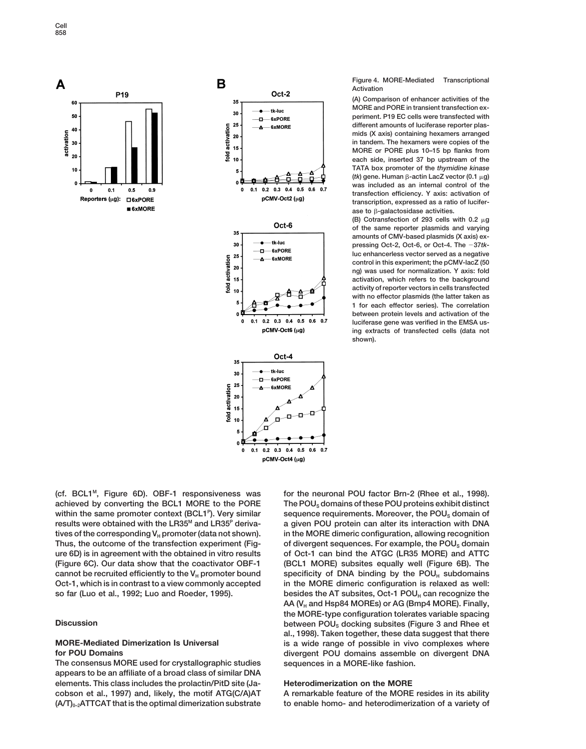



**Figure 4. MORE-Mediated Transcriptional Activation**

**(A) Comparison of enhancer activities of the MORE and PORE in transient transfection experiment. P19 EC cells were transfected with different amounts of luciferase reporter plasmids (X axis) containing hexamers arranged in tandem. The hexamers were copies of the MORE or PORE plus 10–15 bp flanks from each side, inserted 37 bp upstream of the TATA box promoter of the** *thymidine kinase* **(tk)** gene. Human β-actin LacZ vector (0.1  $\mu$ g) **was included as an internal control of the transfection efficiency. Y axis: activation of transcription, expressed as a ratio of luciferase to** b**-galactosidase activities.**

**(B) Cotransfection of 293 cells with 0.2** m**g of the same reporter plasmids and varying amounts of CMV-based plasmids (X axis) ex** $presina Oct-2$ ,  $Oct-6$ ,  $or Oct-4$ . The  $-37$ *tk***luc enhancerless vector served as a negative control in this experiment; the pCMV-lacZ (50 ng) was used for normalization. Y axis: fold activation, which refers to the background activity of reporter vectors in cells transfected with no effector plasmids (the latter taken as 1 for each effector series). The correlation between protein levels and activation of the luciferase gene was verified in the EMSA using extracts of transfected cells (data not shown).**

**achieved by converting the BCL1 MORE to the PORE The POUS domains of these POU proteins exhibit distinct** within the same promoter context (BCL1<sup>P</sup>). Very similar sequence requirements. Moreover, the POU<sub>S</sub> domain of results were obtained with the LR35<sup>M</sup> and LR35<sup>P</sup> deriva- a given POU protein can alter its interaction with DNA tives of the corresponding V<sub>H</sub> promoter (data not shown). in the MORE dimeric configuration, allowing recognition **Thus, the outcome of the transfection experiment (Fig- of divergent sequences. For example, the POUS domain ure 6D) is in agreement with the obtained in vitro results of Oct-1 can bind the ATGC (LR35 MORE) and ATTC (Figure 6C). Our data show that the coactivator OBF-1 (BCL1 MORE) subsites equally well (Figure 6B). The** cannot be recruited efficiently to the  $V_H$  promoter bound specificity of DNA binding by the POU<sub>H</sub> subdomains **Oct-1, which is in contrast to a view commonly accepted in the MORE dimeric configuration is relaxed as well:** so far (Luo et al., 1992; Luo and Roeder, 1995). besides the AT subsites, Oct-1 POU<sub>H</sub> can recognize the

**The consensus MORE used for crystallographic studies sequences in a MORE-like fashion. appears to be an affiliate of a broad class of similar DNA elements. This class includes the prolactin/PitD site (Ja- Heterodimerization on the MORE cobson et al., 1997) and, likely, the motif ATG(C/A)AT A remarkable feature of the MORE resides in its ability (A/T)0–2ATTCAT that is the optimal dimerization substrate to enable homo- and heterodimerization of a variety of**

**(cf. BCL1M, Figure 6D). OBF-1 responsiveness was for the neuronal POU factor Brn-2 (Rhee et al., 1998).** AA (V<sub>H</sub> and Hsp84 MOREs) or AG (Bmp4 MORE). Finally, **the MORE-type configuration tolerates variable spacing Discussion between POUS docking subsites (Figure 3 and Rhee et al., 1998). Taken together, these data suggest that there MORE-Mediated Dimerization Is Universal is a wide range of possible in vivo complexes where for POU Domains divergent POU domains assemble on divergent DNA**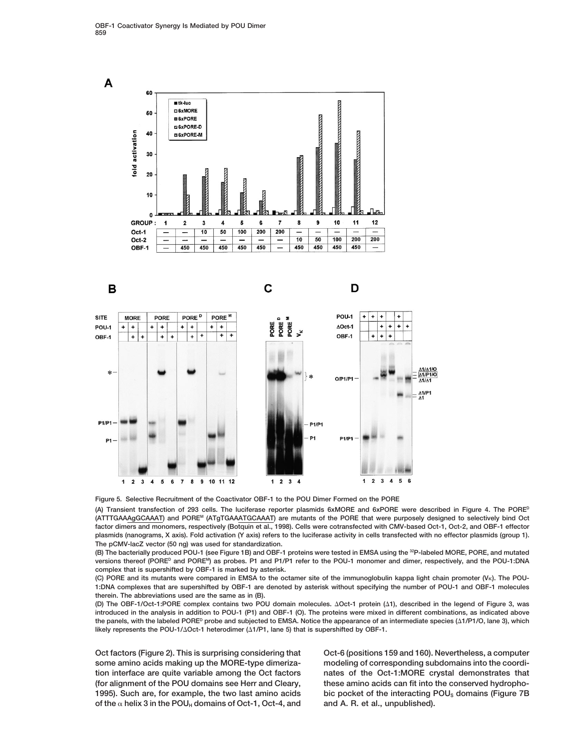

**Figure 5. Selective Recruitment of the Coactivator OBF-1 to the POU Dimer Formed on the PORE**

**(A) Transient transfection of 293 cells. The luciferase reporter plasmids 6xMORE and 6xPORE were described in Figure 4. The PORED (ATTTGAAAgGCAAAT) and POREM (ATgTGAAATGCAAAT) are mutants of the PORE that were purposely designed to selectively bind Oct factor dimers and monomers, respectively (Botquin et al., 1998). Cells were cotransfected with CMV-based Oct-1, Oct-2, and OBF-1 effector plasmids (nanograms, X axis). Fold activation (Y axis) refers to the luciferase activity in cells transfected with no effector plasmids (group 1). The pCMV-lacZ vector (50 ng) was used for standardization.**

**(B) The bacterially produced POU-1 (see Figure 1B) and OBF-1 proteins were tested in EMSA using the 32P-labeled MORE, PORE, and mutated** versions thereof (PORE<sup>D</sup> and PORE<sup>M</sup>) as probes. P1 and P1/P1 refer to the POU-1 monomer and dimer, respectively, and the POU-1:DNA **complex that is supershifted by OBF-1 is marked by asterisk.**

**(C) PORE and its mutants were compared in EMSA to the octamer site of the immunoglobulin kappa light chain promoter (V**k**). The POU-1:DNA complexes that are supershifted by OBF-1 are denoted by asterisk without specifying the number of POU-1 and OBF-1 molecules therein. The abbreviations used are the same as in (B).**

**(D) The OBF-1/Oct-1:PORE complex contains two POU domain molecules.** D**Oct-1 protein (**D**1), described in the legend of Figure 3, was introduced in the analysis in addition to POU-1 (P1) and OBF-1 (O). The proteins were mixed in different combinations, as indicated above** the panels, with the labeled PORE<sup>D</sup> probe and subjected to EMSA. Notice the appearance of an intermediate species ( $\Delta$ 1/P1/O, lane 3), which **likely represents the POU-1/**D**Oct-1 heterodimer (**D**1/P1, lane 5) that is supershifted by OBF-1.**

**Oct factors (Figure 2). This is surprising considering that Oct-6 (positions 159 and 160). Nevertheless, a computer** of the  $\alpha$  helix 3 in the POU<sub>H</sub> domains of Oct-1, Oct-4, and and A. R. et al., unpublished).

**some amino acids making up the MORE-type dimeriza- modeling of corresponding subdomains into the coordition interface are quite variable among the Oct factors nates of the Oct-1:MORE crystal demonstrates that (for alignment of the POU domains see Herr and Cleary, these amino acids can fit into the conserved hydropho-1995). Such are, for example, the two last amino acids bic pocket of the interacting POUS domains (Figure 7B**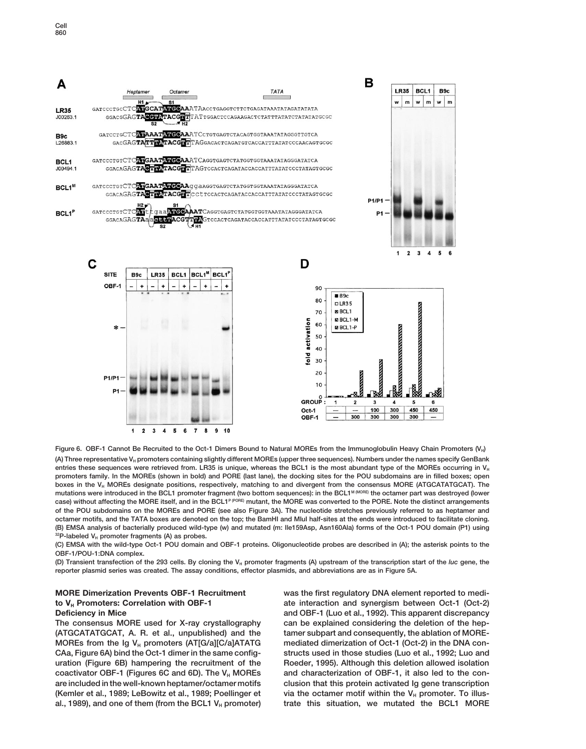

Figure 6. OBF-1 Cannot Be Recruited to the Oct-1 Dimers Bound to Natural MOREs from the Immunoglobulin Heavy Chain Promoters (V<sub>H</sub>) (A) Three representative V<sub>H</sub> promoters containing slightly different MOREs (upper three sequences). Numbers under the names specify GenBank entries these sequences were retrieved from. LR35 is unique, whereas the BCL1 is the most abundant type of the MOREs occurring in  $V_{H}$ **promoters family. In the MOREs (shown in bold) and PORE (last lane), the docking sites for the POU subdomains are in filled boxes; open** boxes in the V<sub>H</sub> MOREs designate positions, respectively, matching to and divergent from the consensus MORE (ATGCATATGCAT). The **mutations were introduced in the BCL1 promoter fragment (two bottom sequences): in the BCL1M (MORE) the octamer part was destroyed (lower case) without affecting the MORE itself, and in the BCL1P (PORE) mutant, the MORE was converted to the PORE. Note the distinct arrangements of the POU subdomains on the MOREs and PORE (see also Figure 3A). The nucleotide stretches previously referred to as heptamer and octamer motifs, and the TATA boxes are denoted on the top; the BamHI and MluI half-sites at the ends were introduced to facilitate cloning. (B) EMSA analysis of bacterially produced wild-type (w) and mutated (m: Ile159Asp, Asn160Ala) forms of the Oct-1 POU domain (P1) using** <sup>32</sup>P-labeled V<sub>H</sub> promoter fragments (A) as probes.

**(C) EMSA with the wild-type Oct-1 POU domain and OBF-1 proteins. Oligonucleotide probes are described in (A); the asterisk points to the OBF-1/POU-1:DNA complex.**

(D) Transient transfection of the 293 cells. By cloning the V<sub>H</sub> promoter fragments (A) upstream of the transcription start of the *luc* gene, the **reporter plasmid series was created. The assay conditions, effector plasmids, and abbreviations are as in Figure 5A.**

**(ATGCATATGCAT, A. R. et al., unpublished) and the tamer subpart and consequently, the ablation of MORE-**MOREs from the Ig V<sub>H</sub> promoters (AT[G/a][C/a]ATATG mediated dimerization of Oct-1 (Oct-2) in the DNA con-**CAa, Figure 6A) bind the Oct-1 dimer in the same config- structs used in those studies (Luo et al., 1992; Luo and uration (Figure 6B) hampering the recruitment of the Roeder, 1995). Although this deletion allowed isolation** coactivator OBF-1 (Figures 6C and 6D). The V<sub>H</sub> MOREs and characterization of OBF-1, it also led to the con**are included in the well-known heptamer/octamer motifs clusion that this protein activated Ig gene transcription (Kemler et al., 1989; LeBowitz et al., 1989; Poellinger et** via the octamer motif within the V<sub>H</sub> promoter. To illusal., 1989), and one of them (from the BCL1 V<sub>H</sub> promoter) trate this situation, we mutated the BCL1 MORE

**MORE Dimerization Prevents OBF-1 Recruitment was the first regulatory DNA element reported to medito VH Promoters: Correlation with OBF-1 ate interaction and synergism between Oct-1 (Oct-2) Deficiency in Mice and OBF-1 (Luo et al., 1992). This apparent discrepancy The consensus MORE used for X-ray crystallography can be explained considering the deletion of the hep-**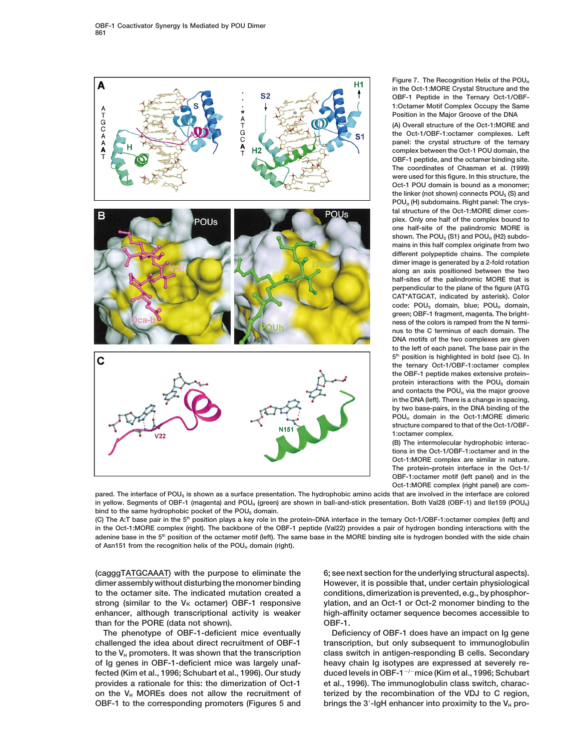**OBF-1 Coactivator Synergy Is Mediated by POU Dimer 861**



**Figure 7. The Recognition Helix of the POUH in the Oct-1:MORE Crystal Structure and the OBF-1 Peptide in the Ternary Oct-1/OBF-1:Octamer Motif Complex Occupy the Same Position in the Major Groove of the DNA**

**(A) Overall structure of the Oct-1:MORE and the Oct-1/OBF-1:octamer complexes. Left panel: the crystal structure of the ternary complex between the Oct-1 POU domain, the OBF-1 peptide, and the octamer binding site. The coordinates of Chasman et al. (1999) were used for this figure. In this structure, the Oct-1 POU domain is bound as a monomer;** the linker (not shown) connects POU<sub>s</sub> (S) and POU<sub>H</sub> (H) subdomains. Right panel: The crys**tal structure of the Oct-1:MORE dimer complex. Only one half of the complex bound to one half-site of the palindromic MORE is** shown. The POU<sub>s</sub> (S1) and POU<sub>H</sub> (H2) subdo**mains in this half complex originate from two different polypeptide chains. The complete dimer image is generated by a 2-fold rotation along an axis positioned between the two half-sites of the palindromic MORE that is perpendicular to the plane of the figure (ATG CAT\*ATGCAT, indicated by asterisk). Color code: POUS domain, blue; POUH domain, green; OBF-1 fragment, magenta. The brightness of the colors is ramped from the N terminus to the C terminus of each domain. The DNA motifs of the two complexes are given to the left of each panel. The base pair in the 5th position is highlighted in bold (see C). In the ternary Oct-1/OBF-1:octamer complex the OBF-1 peptide makes extensive protein– protein interactions with the POUS domain** and contacts the POU<sub>H</sub> via the major groove **in the DNA (left). There is a change in spacing, by two base-pairs, in the DNA binding of the POUH domain in the Oct-1:MORE dimeric structure compared to that of the Oct-1/OBF-1:octamer complex.**

**(B) The intermolecular hydrophobic interactions in the Oct-1/OBF-1:octamer and in the Oct-1:MORE complex are similar in nature. The protein–protein interface in the Oct-1/ OBF-1:octamer motif (left panel) and in the Oct-1:MORE complex (right panel) are com-**

**pared. The interface of POUS is shown as a surface presentation. The hydrophobic amino acids that are involved in the interface are colored** in yellow. Segments of OBF-1 (magenta) and POU<sub>H</sub> (green) are shown in ball-and-stick presentation. Both Val28 (OBF-1) and lle159 (POU<sub>H</sub>) bind to the same hydrophobic pocket of the POU<sub>S</sub> domain.

**(C) The A:T base pair in the 5th position plays a key role in the protein–DNA interface in the ternary Oct-1/OBF-1:octamer complex (left) and in the Oct-1:MORE complex (right). The backbone of the OBF-1 peptide (Val22) provides a pair of hydrogen bonding interactions with the adenine base in the 5th position of the octamer motif (left). The same base in the MORE binding site is hydrogen bonded with the side chain** of Asn151 from the recognition helix of the POU<sub>H</sub> domain (right).

**than for the PORE (data not shown). OBF-1.**

**OBF-1** to the corresponding promoters (Figures 5 and brings the 3'-IgH enhancer into proximity to the V<sub>H</sub> pro-

**(cagggTATGCAAAT) with the purpose to eliminate the 6; see next section for the underlying structural aspects). dimer assembly without disturbing the monomer binding However, it is possible that, under certain physiological to the octamer site. The indicated mutation created a conditions, dimerization is prevented, e.g., by phosphorstrong (similar to the V**k **octamer) OBF-1 responsive ylation, and an Oct-1 or Oct-2 monomer binding to the enhancer, although transcriptional activity is weaker high-affinity octamer sequence becomes accessible to**

**The phenotype of OBF-1-deficient mice eventually Deficiency of OBF-1 does have an impact on Ig gene challenged the idea about direct recruitment of OBF-1 transcription, but only subsequent to immunoglobulin** to the V<sub>H</sub> promoters. It was shown that the transcription class switch in antigen-responding B cells. Secondary **of Ig genes in OBF-1-deficient mice was largely unaf- heavy chain Ig isotypes are expressed at severely refected (Kim et al., 1996; Schubart et al., 1996). Our study duced levels in OBF-1**<sup>2</sup>**/**<sup>2</sup>**mice (Kim et al., 1996; Schubart provides a rationale for this: the dimerization of Oct-1 et al., 1996). The immunoglobulin class switch, characon the VH MOREs does not allow the recruitment of terized by the recombination of the VDJ to C region,**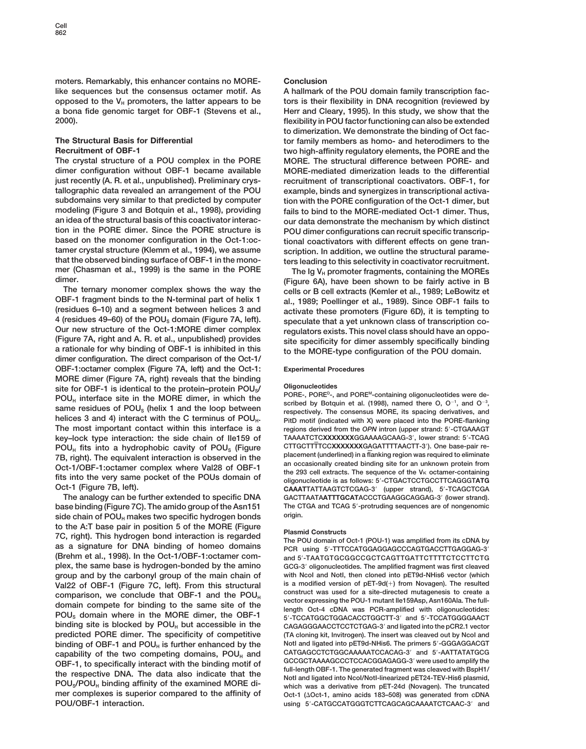**moters. Remarkably, this enhancer contains no MORE- Conclusion like sequences but the consensus octamer motif. As A hallmark of the POU domain family transcription facopposed to the VH promoters, the latter appears to be tors is their flexibility in DNA recognition (reviewed by a bona fide genomic target for OBF-1 (Stevens et al., Herr and Cleary, 1995). In this study, we show that the 2000). flexibility in POU factor functioning can also be extended**

**dimer configuration without OBF-1 became available MORE-mediated dimerization leads to the differential just recently (A. R. et al., unpublished). Preliminary crys- recruitment of transcriptional coactivators. OBF-1, for tallographic data revealed an arrangement of the POU example, binds and synergizes in transcriptional activasubdomains very similar to that predicted by computer tion with the PORE configuration of the Oct-1 dimer, but modeling (Figure 3 and Botquin et al., 1998), providing fails to bind to the MORE-mediated Oct-1 dimer. Thus, an idea of the structural basis of this coactivator interac- our data demonstrate the mechanism by which distinct based on the monomer configuration in the Oct-1:oc- tional coactivators with different effects on gene trantamer crystal structure (Klemm et al., 1994), we assume scription. In addition, we outline the structural paramethat the observed binding surface of OBF-1 in the mono- ters leading to this selectivity in coactivator recruitment.** mer (Chasman et al., 1999) is the same in the PORE The Ig V<sub>H</sub> promoter fragments, containing the MOREs<br>dimer. (Figure 6A) have been shown to be fairly active in B

**The ternary monomer complex shows the way the cells or B cell extracts (Kemler et al., 1989; LeBowitz et OBF-1 fragment binds to the N-terminal part of helix 1 al., 1989; Poellinger et al., 1989). Since OBF-1 fails to (residues 6–10) and a segment between helices 3 and activate these promoters (Figure 6D), it is tempting to 4 (residues 49–60) of the POUS domain (Figure 7A, left). speculate that a yet unknown class of transcription co-Our new structure of the Oct-1:MORE dimer complex regulators exists. This novel class should have an oppo-** (Figure /A, right and A. H. et al., unpublished) provides site specificity for dimer assembly specifically binding<br>a rationale for why binding of OBF-1 is inhibited in this to the MORE-type configuration of the POU domain. **OBF-1:octamer complex (Figure 7A, left) and the Oct-1: Experimental Procedures MORE dimer (Figure 7A, right) reveals that the binding Site for OBF-1 is identical to the protein–protein POU<sub>S</sub>/ Oligonucleotides**<br> **DOUL** interface aite in the MOBE dimer in which the PORE-, PORE<sup>D</sup>-, and PORE<sup>N</sup>-containing oligonucleotides were de-**POU<sub>H</sub>** interface site in the MORE dimer, in which the same residues of POU<sub>s</sub> (helix 1 and the loop between **Same residues of POU<sub>S</sub> (helix 1 and the loop between** respectively. The consensus MORE, its spacing derivatives, and  $\theta$ ) interact with the C terminus of POU<sub>H</sub> print motif (indicated with X) were placed into the PORE-f **The most important contact within this interface is a regions derived from the** *OPN* **intron (upper strand: 5**9**-CTGAAAGT key–lock type interaction: the side chain of Ile159 of TAAAATCTCXXXXXXXGGAAAAGCAAG-3**9**, lower strand: 5**9**-TCAG**  $POU<sub>H</sub>$  fits into a hydrophobic cavity of  $POU<sub>s</sub>$  (Figure TTGCTTTTCCXXXXXXXGAGATTTTAACTT-3'). One base-pair re-<br>
7B, right). The equivalent interaction is observed in the placement (underlined) in a flanking region

**base binding (Figure 7C). The amido group of the Asn151** side chain of POU<sub>H</sub> makes two specific hydrogen bonds origin. to the A:T base pair in position 5 of the MORE (Figure<br>7C, right). This hydrogen bond interaction is regarded<br>as a signature for DNA binding of homeo domains<br>pcR using 5'-TTTCCATGGAGGAGCCCAGTGACCTTGAGGAG-3' **(Brehm et al., 1998). In the Oct-1/OBF-1:octamer com- and 5**9**-TAATGTGCGGCCGCTCAGTTGATTCTTTTCTCCTTCTG** plex, the same base is hydrogen-bonded by the amino GCG-3' oligonucleotides. The amplified fragment was first cleaved **group and by the carbonyl group of the main chain of with NcoI and NotI, then cloned into pET9d-NHis6 vector (which Val22 of OBF-1 (Figure 7C, left). From this structural is a modified version of pET-9d(**1**) from Novagen). The resulted** construct was used for DI-alter-direct material engines, we conclude that OBF-1 and the POU<sub>H</sub><br>domain compete for binding to the same site of the<br>POU<sub>S</sub> domain where in the MORE dimer, the OBF-1  $\frac{1}{5}$ -TCCATGGCTGGACACC **binding site is blocked by POUH but accessible in the CAGAGGGAACCTCCTCTGAG-3**9 **and ligated into the pCR2.1 vector predicted PORE dimer. The specificity of competitive (TA cloning kit, Invitrogen). The insert was cleaved out by NcoI and binding of OBF-1 and POU<sub>H</sub> is further enhanced by the** NotI and ligated into pET9d-NHis6. The primers 5'-GGGAGGACGT<br> **CATGAGCCTCTGGCAAAAATCCACAG-3'** and 5'-AATTATATGCG capability of the two competing domains,  $POU_H$  and  $CATGAGCCTCTGGCAAAATCCACGGGAGAGG-3'$  and 5<sup>7</sup>-AATTATATGCG<br>CRE-1 to specifically interact with the binding motif of GCCGCTAAAAGCCCTCCACGGAGAGG-3' were used to amplify the OBF-1, to specifically interact with the binding motif of<br>the respective DNA. The data also indicate that the<br> $POL_s/POL_H$  binding affinity of the examined MORE di-<br>mer complexes is superior compared to the affinity of<br>the af **POU/OBF-1 interaction. using 5**9**-CATGCCATGGGTCTTCAGCAGCAAAATCTCAAC-3**9 **and**

**to dimerization. We demonstrate the binding of Oct fac-The Structural Basis for Differential to the structural Structural Basis for Differential the PCRE and the Recruitment of OBF-1 the PCRE** and the **Recruitment** of OBF-1 **two high-affinity regulatory elements, the PORE and the The crystal structure of a POU complex in the PORE MORE. The structural difference between PORE- and POU dimer configurations can recruit specific transcrip-**

**dimer. (Figure 6A), have been shown to be fairly active in B**

scribed by Botquin et al. (1998), named there O,  $O^{-1}$ , and  $O^{-3}$ PitD motif (indicated with X) were placed into the PORE-flanking **Oct-1 (Figure 7B, left). CAAATTATTAAGTCTCGAG-3**9 **(upper strand), 5**9**-TCAGCTCGA The analogy can be further extended to specific DNA GACTTAATAATTTGCATACCCTGAAGGCAGGAG-3**9 **(lower strand).**

**Oct-1** (ΔOct-1, amino acids 183–508) was generated from cDNA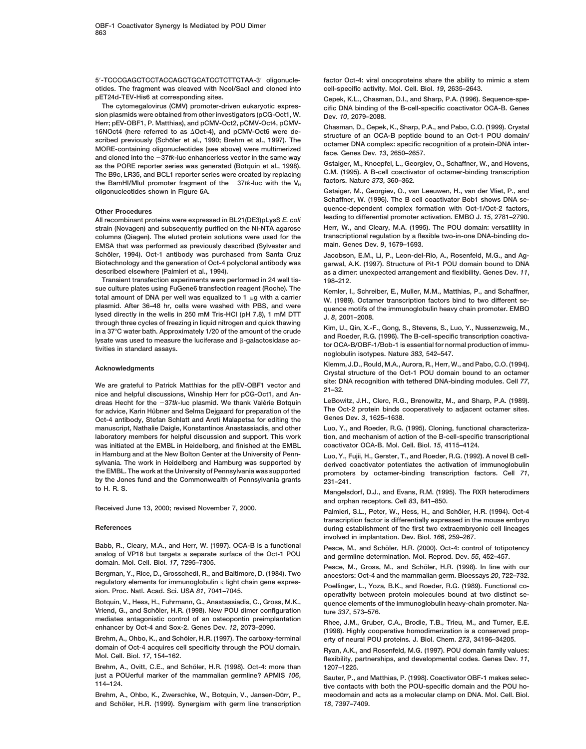**5**9**-TCCCGAGCTCCTACCAGCTGCATCCTCTTCTAA-3**9 **oligonucle- factor Oct-4: viral oncoproteins share the ability to mimic a stem otides. The fragment was cleaved with NcoI/SacI and cloned into cell-specific activity. Mol. Cell. Biol.** *19***, 2635–2643.**

**sion plasmids were obtained from other investigators (pCG-Oct1, W. Dev.** *10***, 2079–2088.** Herr; pEV-OBF1, P. Matthias), and pCMV-Oct2, pCMV-Oct4, pCMV-<br>16NOct4 (here referred to as ΔOct-4), and pCMV-Oct6 were de-<br>scribed previously (Schöler et al., 1990; Brehm et al., 1997). The<br>MORE-containing oligonucleotide **oligonucleotides shown in Figure 6A. Gstaiger, M., Georgiev, O., van Leeuwen, H., van der Vliet, P., and**

**leading to differential promoter activation. EMBO J.** *<sup>15</sup>***, 2781–2790. All recombinant proteins were expressed in BL21(DE3)pLysS** *E. coli* strain (Novagen) and subsequently purified on the Ni-NTA agarose **columns (Qiagen). The eluted protein solutions were used for the transcriptional regulation by a flexible two-in-one DNA-binding do-EMSA that was performed as previously described (Sylvester and main. Genes Dev.** *9***, 1679–1693.** Schöler, 1994). Oct-1 antibody was purchased from Santa Cruz Jacobson, E.M., Li, P., Leon-del-Rio, A., Rosenfeld, M.G., and Ag-**Biotechnology and the generation of Oct-4 polyclonal antibody was garwal, A.K. (1997). Structure of Pit-1 POU domain bound to DNA**

**Transient transfection experiments were performed in 24 well tis- 198–212.** sue culture plates using FuGene6 transfection reagent (Roche). The<br>
total amount of DNA per well was equalized to 1 μg with a carrier<br>
plasmid. After 36–48 hr, cells were washed with PBS, and were<br>
yised directly in the w

We are grateful to Patrick Matthias for the pEV-OBF1 vector and<br>nice and helpful discussions, Winship Herr for pCG-Oct1, and An-<br>dreas Hecht for the -37tk-luc plasmid. We thank Valérie Botquin<br>LeBowitz, J.H., Clerc, R.G., dreas Hecht for the -37tk-luc plasmid. We thank Valérie Botquin<br>for advice Karin Hübner and Selma Deigaard for preparation of the **The Oct-2 protein binds cooperatively to adjacent octamer sites. The Oct-2 protein binds comparent of the Serveration of the Formation of the Uct-2 protein binds of and Serveration of the Uct-2 protein binds of the Oct-2 protein binds of the Dev. 3, 1625–1638. Oct-4 antibody, Stefan Schlatt and Areti Malapetsa for editing the manuscript, Nathalie Daigle, Konstantinos Anastassiadis, and other Luo, Y., and Roeder, R.G. (1995). Cloning, functional characterizalaboratory members for helpful discussion and support. This work tion, and mechanism of action of the B-cell-specific transcriptional was initiated at the EMBL in Heidelberg, and finished at the EMBL coactivator OCA-B. Mol. Cell. Biol.** *15***, 4115–4124. in Hamburg and at the New Bolton Center at the University of Penn- Luo, Y., Fujii, H., Gerster, T., and Roeder, R.G. (1992). A novel B cell**sylvania. The work in Heidelberg and Hamburg was supported by derived coactivator potentiates the activation of immunoglobulin<br>the EMBL. The work at the University of Pennsylvania was supported promoters by octamer-binding **by the Jones fund and the Commonwealth of Pennsylvania grants**  $231-241$ .<br>to H. R. S.

Babb, R., Cleary, M.A., and Herr, W. (1997). OCA-B is a functional pesce, M., and Schöler, H.R. (2000). Oct-4: control of totipotency<br>analog of VP16 but targets a separate surface of the Oct-1 POU and germline determinatio

**Bergman, Y., Rice, D., Grosschedl, R., and Baltimore, D. (1984). Two ancestors: Oct-4 and the mammalian germ. Bioessays** *20***, 722–732.**

**Vriend, G., and Schöler, H.R. (1998). New POU dimer configuration mediates antagonistic control of an osteopontin preimplantation** 

domain of Oct-4 acquires cell specificity through the POU domain.<br>Mol. Cell. Biol. 17, 154–162. Mol. Cell. Biol. 17, 154–162. The section of the POU domain family values:

**Brehm, A., Ovitt, C.E., and Schöler, H.R. (1998). Oct-4: more than 1207–1225. just a POUerful marker of the mammalian germline? APMIS** *106***, Sauter, P., and Matthias, P. (1998). Coactivator OBF-1 makes selec-**

and Schöler, H.R. (1999). Synergism with germ line transcription **18**, 7397-7409.

**pET24d-TEV-His6 at corresponding sites. Cexel Act Community Cepek, K.L., Chasman, D.I., and Sharp, P.A. (1996). Sequence-spe-**<br>The cytomegalovirus (CMV) promoter-driven eukaryotic expres-<br>
cific DNA binding of the B-cel cific DNA binding of the B-cell-specific coactivator OCA-B. Genes

**Schaffner, W. (1996). The B cell coactivator Bob1 shows DNA se-Quence-dependent complex formation with Oct-1/Oct-2 factors,**<br>All recombinant protoins were expressed in BL31/DE3\pl vsS E equippedial prodifferential promoter activation. EMBO J. 15, 2781–2790.

**described elsewhere (Palmieri et al., 1994). as a dimer: unexpected arrangement and flexibility. Genes Dev.** *11***,**

**Klemm, J.D., Rould, M.A., Aurora, R., Herr, W., and Pabo, C.O. (1994). Acknowledgments Crystal structure of the Oct-1 POU domain bound to an octamer**

promoters by octamer-binding transcription factors. Cell 71,

**to H. R. S. Mangelsdorf, D.J., and Evans, R.M. (1995). The RXR heterodimers and orphan receptors. Cell** *83***, 841–850.**

Received June 13, 2000; revised November 7, 2000. **Palmieri, S.L., Peter, W., Hess, H., and Schöler, H.R. (1994). Oct-4 transcription factor is differentially expressed in the mouse embryo References during establishment of the first two extraembryonic cell lineages involved in implantation. Dev. Biol.** *166***, 259–267.**

domain. Mol. Cell. Biol. 77, 7295–7009.<br>Bergman, Y., Rice, D., Grosschedl, R., and Baltimore, D. (1984). Two ancestors: Oct-4 and the mammalian germ. Bioessays 20, 722–732 regulatory elements for immunoglobulin k light chain gene expres-<br>sion. Proc. Natl. Acad. Sci. USA 81, 7041–7045.<br>Botquin, V., Hess, H., Fuhrmann, G., Anastassiadis, C., Gross, M.K., and all prements of the immunoglobulin quence elements of the immunoglobulin heavy-chain promoter. Na-<br>ture 337, 573-576.

mediates antagonistic control of an osteopontin preimplantation<br>enhancer by Oct-4 and Sox-2. Genes Dev. 12, 2073–2090. (1998). Highly cooperative homodimerization is a conserved prop-Brehm, A., Ohbo, K., and Schöler, H.R. (1997). The carboxy-terminal erty of neural POU proteins. J. Biol. Chem. 273, 34196-34205

**114–124. tive contacts with both the POU-specific domain and the POU ho-**Brehm, A., Ohbo, K., Zwerschke, W., Botquin, V., Jansen-Dürr, P., meodomain and acts as a molecular clamp on DNA. Mol. Cell. Biol.